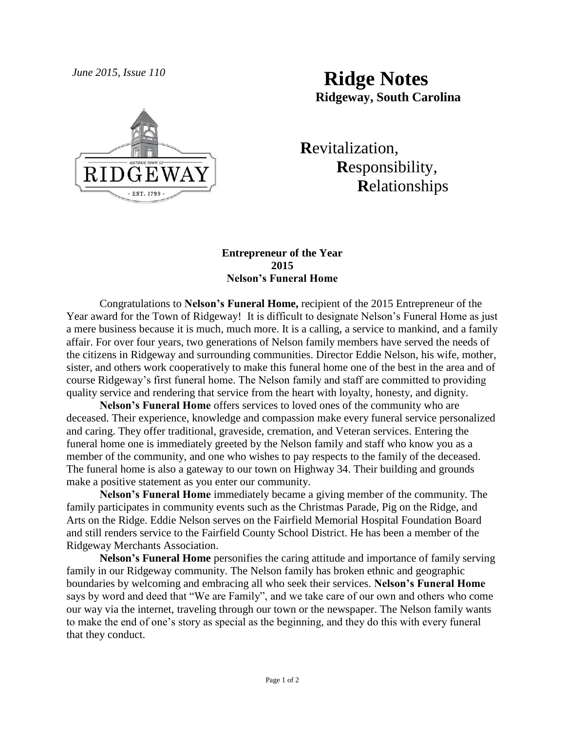

*June 2015, Issue 110* **Ridge Notes Ridgeway, South Carolina**

> **R**evitalization,  **R**esponsibility,  **R**elationships

## **Entrepreneur of the Year 2015 Nelson's Funeral Home**

Congratulations to **Nelson's Funeral Home,** recipient of the 2015 Entrepreneur of the Year award for the Town of Ridgeway! It is difficult to designate Nelson's Funeral Home as just a mere business because it is much, much more. It is a calling, a service to mankind, and a family affair. For over four years, two generations of Nelson family members have served the needs of the citizens in Ridgeway and surrounding communities. Director Eddie Nelson, his wife, mother, sister, and others work cooperatively to make this funeral home one of the best in the area and of course Ridgeway's first funeral home. The Nelson family and staff are committed to providing quality service and rendering that service from the heart with loyalty, honesty, and dignity.

**Nelson's Funeral Home** offers services to loved ones of the community who are deceased. Their experience, knowledge and compassion make every funeral service personalized and caring. They offer traditional, graveside, cremation, and Veteran services. Entering the funeral home one is immediately greeted by the Nelson family and staff who know you as a member of the community, and one who wishes to pay respects to the family of the deceased. The funeral home is also a gateway to our town on Highway 34. Their building and grounds make a positive statement as you enter our community.

**Nelson's Funeral Home** immediately became a giving member of the community. The family participates in community events such as the Christmas Parade, Pig on the Ridge, and Arts on the Ridge. Eddie Nelson serves on the Fairfield Memorial Hospital Foundation Board and still renders service to the Fairfield County School District. He has been a member of the Ridgeway Merchants Association.

**Nelson's Funeral Home** personifies the caring attitude and importance of family serving family in our Ridgeway community. The Nelson family has broken ethnic and geographic boundaries by welcoming and embracing all who seek their services. **Nelson's Funeral Home** says by word and deed that "We are Family", and we take care of our own and others who come our way via the internet, traveling through our town or the newspaper. The Nelson family wants to make the end of one's story as special as the beginning, and they do this with every funeral that they conduct.